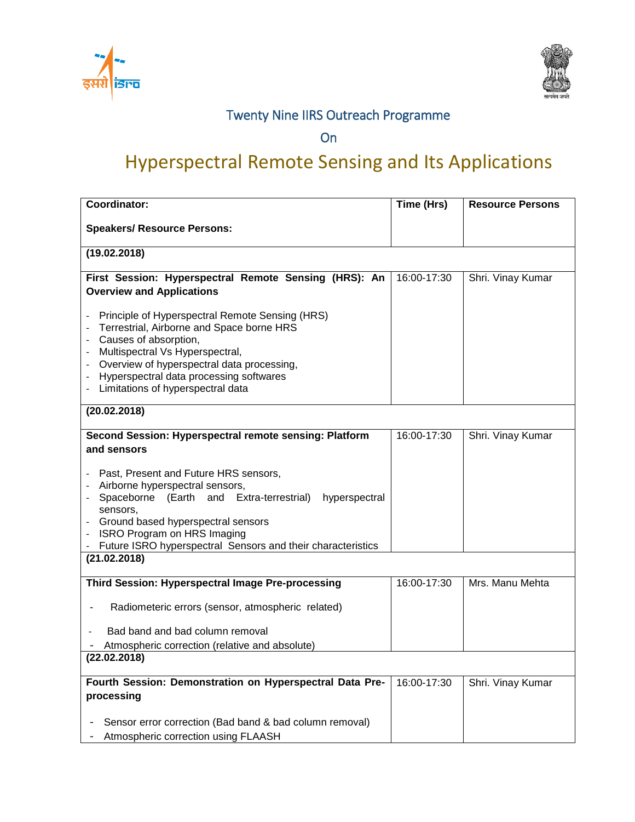



## **Twenty Nine IIRS Outreach Programme**

**On** 

## Hyperspectral Remote Sensing and Its Applications

| <b>Coordinator:</b>                                                                                                                                                                                                                                                                                                                                                                                    | Time (Hrs)  | <b>Resource Persons</b> |
|--------------------------------------------------------------------------------------------------------------------------------------------------------------------------------------------------------------------------------------------------------------------------------------------------------------------------------------------------------------------------------------------------------|-------------|-------------------------|
| <b>Speakers/ Resource Persons:</b>                                                                                                                                                                                                                                                                                                                                                                     |             |                         |
| (19.02.2018)                                                                                                                                                                                                                                                                                                                                                                                           |             |                         |
| First Session: Hyperspectral Remote Sensing (HRS): An<br><b>Overview and Applications</b>                                                                                                                                                                                                                                                                                                              | 16:00-17:30 | Shri. Vinay Kumar       |
| Principle of Hyperspectral Remote Sensing (HRS)<br>Terrestrial, Airborne and Space borne HRS<br>Causes of absorption,<br>$\overline{\phantom{a}}$<br>Multispectral Vs Hyperspectral,<br>$\overline{\phantom{a}}$<br>Overview of hyperspectral data processing,<br>$\overline{\phantom{a}}$<br>Hyperspectral data processing softwares<br>$\overline{\phantom{a}}$<br>Limitations of hyperspectral data |             |                         |
| (20.02.2018)                                                                                                                                                                                                                                                                                                                                                                                           |             |                         |
| Second Session: Hyperspectral remote sensing: Platform<br>and sensors<br>Past, Present and Future HRS sensors,<br>Airborne hyperspectral sensors,<br>Spaceborne (Earth and<br>Extra-terrestrial)<br>hyperspectral<br>sensors,<br>Ground based hyperspectral sensors<br>ISRO Program on HRS Imaging<br>Future ISRO hyperspectral Sensors and their characteristics                                      | 16:00-17:30 | Shri. Vinay Kumar       |
| (21.02.2018)                                                                                                                                                                                                                                                                                                                                                                                           |             |                         |
| Third Session: Hyperspectral Image Pre-processing<br>Radiometeric errors (sensor, atmospheric related)<br>Bad band and bad column removal<br>Atmospheric correction (relative and absolute)                                                                                                                                                                                                            | 16:00-17:30 | Mrs. Manu Mehta         |
| (22.02.2018)                                                                                                                                                                                                                                                                                                                                                                                           |             |                         |
| Fourth Session: Demonstration on Hyperspectral Data Pre-<br>processing                                                                                                                                                                                                                                                                                                                                 | 16:00-17:30 | Shri. Vinay Kumar       |
| Sensor error correction (Bad band & bad column removal)<br>Atmospheric correction using FLAASH                                                                                                                                                                                                                                                                                                         |             |                         |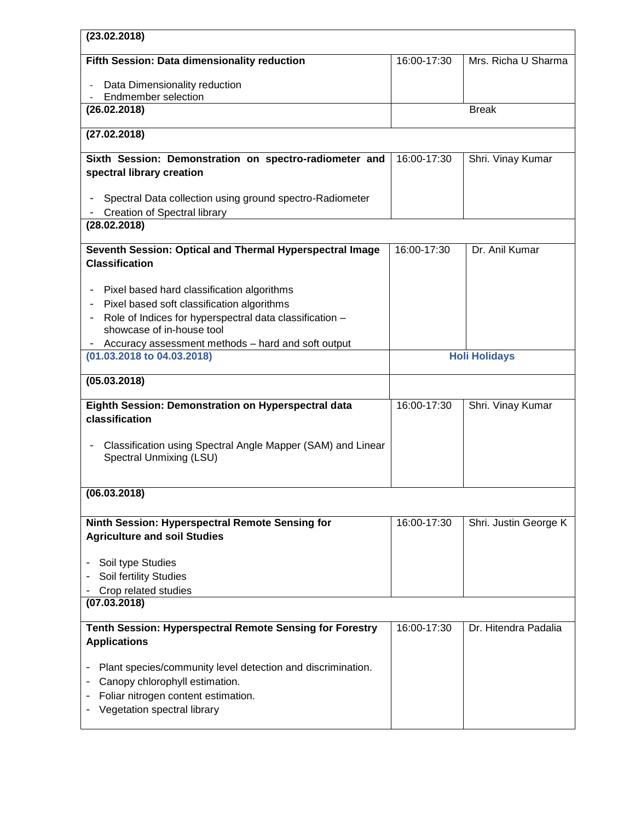| (23.02.2018)                                                                                                                                                     |             |                       |
|------------------------------------------------------------------------------------------------------------------------------------------------------------------|-------------|-----------------------|
| Fifth Session: Data dimensionality reduction                                                                                                                     | 16:00-17:30 | Mrs. Richa U Sharma   |
| Data Dimensionality reduction                                                                                                                                    |             |                       |
| <b>Endmember selection</b>                                                                                                                                       |             |                       |
| (26.02.2018)                                                                                                                                                     |             | <b>Break</b>          |
| (27.02.2018)                                                                                                                                                     |             |                       |
| Sixth Session: Demonstration on spectro-radiometer and<br>spectral library creation                                                                              | 16:00-17:30 | Shri. Vinay Kumar     |
| Spectral Data collection using ground spectro-Radiometer<br><b>Creation of Spectral library</b>                                                                  |             |                       |
| (28.02.2018)                                                                                                                                                     |             |                       |
| Seventh Session: Optical and Thermal Hyperspectral Image<br><b>Classification</b>                                                                                | 16:00-17:30 | Dr. Anil Kumar        |
| Pixel based hard classification algorithms<br>Pixel based soft classification algorithms                                                                         |             |                       |
| Role of Indices for hyperspectral data classification -<br>showcase of in-house tool                                                                             |             |                       |
| Accuracy assessment methods - hard and soft output                                                                                                               |             |                       |
| (01.03.2018 to 04.03.2018)                                                                                                                                       |             | <b>Holi Holidays</b>  |
| (05.03.2018)                                                                                                                                                     |             |                       |
| Eighth Session: Demonstration on Hyperspectral data                                                                                                              | 16:00-17:30 | Shri. Vinay Kumar     |
| classification                                                                                                                                                   |             |                       |
| Classification using Spectral Angle Mapper (SAM) and Linear<br>Spectral Unmixing (LSU)                                                                           |             |                       |
| (06.03.2018)                                                                                                                                                     |             |                       |
| Ninth Session: Hyperspectral Remote Sensing for                                                                                                                  | 16:00-17:30 | Shri. Justin George K |
| <b>Agriculture and soil Studies</b>                                                                                                                              |             |                       |
| Soil type Studies                                                                                                                                                |             |                       |
| Soil fertility Studies                                                                                                                                           |             |                       |
| Crop related studies                                                                                                                                             |             |                       |
| (07.03.2018)                                                                                                                                                     |             |                       |
| Tenth Session: Hyperspectral Remote Sensing for Forestry<br><b>Applications</b>                                                                                  | 16:00-17:30 | Dr. Hitendra Padalia  |
| Plant species/community level detection and discrimination.<br>Canopy chlorophyll estimation.<br>Foliar nitrogen content estimation.<br>$\overline{\phantom{0}}$ |             |                       |
| Vegetation spectral library                                                                                                                                      |             |                       |